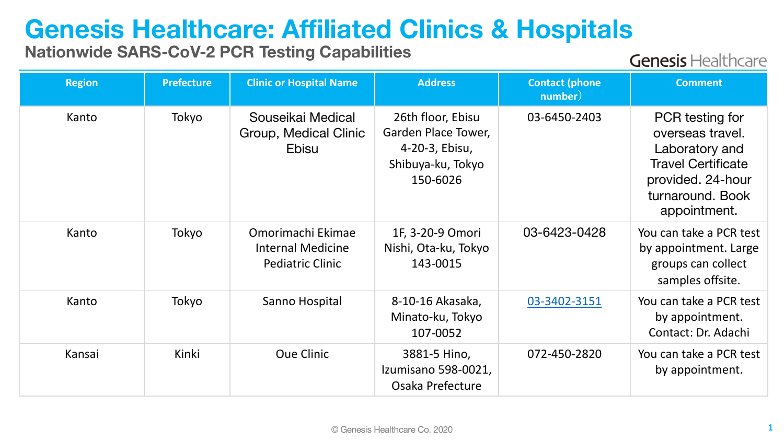## **Genesis Healthcare: Affiliated Clinics & Hospitals**

## **Nationwide SARS-CoV-2 PCR Testing Capabilities**

**Genesis Healthcare** 

| <b>Region</b> | <b>Prefecture</b> | <b>Clinic or Hospital Name</b>                                           | <b>Address</b>                                                                              | <b>Contact (phone</b><br>number) | <b>Comment</b>                                                                                                                              |
|---------------|-------------------|--------------------------------------------------------------------------|---------------------------------------------------------------------------------------------|----------------------------------|---------------------------------------------------------------------------------------------------------------------------------------------|
| Kanto         | Tokyo             | Souseikai Medical<br>Group, Medical Clinic<br><b>Ebisu</b>               | 26th floor, Ebisu<br>Garden Place Tower,<br>4-20-3, Ebisu,<br>Shibuya-ku, Tokyo<br>150-6026 | 03-6450-2403                     | PCR testing for<br>overseas travel.<br>Laboratory and<br><b>Travel Certificate</b><br>provided. 24-hour<br>turnaround. Book<br>appointment. |
| Kanto         | Tokyo             | Omorimachi Ekimae<br><b>Internal Medicine</b><br><b>Pediatric Clinic</b> | 1F, 3-20-9 Omori<br>Nishi, Ota-ku, Tokyo<br>143-0015                                        | 03-6423-0428                     | You can take a PCR test<br>by appointment. Large<br>groups can collect<br>samples offsite.                                                  |
| Kanto         | Tokyo             | Sanno Hospital                                                           | 8-10-16 Akasaka,<br>Minato-ku, Tokyo<br>107-0052                                            | 03-3402-3151                     | You can take a PCR test<br>by appointment.<br>Contact: Dr. Adachi                                                                           |
| Kansai        | Kinki             | <b>Oue Clinic</b>                                                        | 3881-5 Hino,<br>Izumisano 598-0021,<br>Osaka Prefecture                                     | 072-450-2820                     | You can take a PCR test<br>by appointment.                                                                                                  |